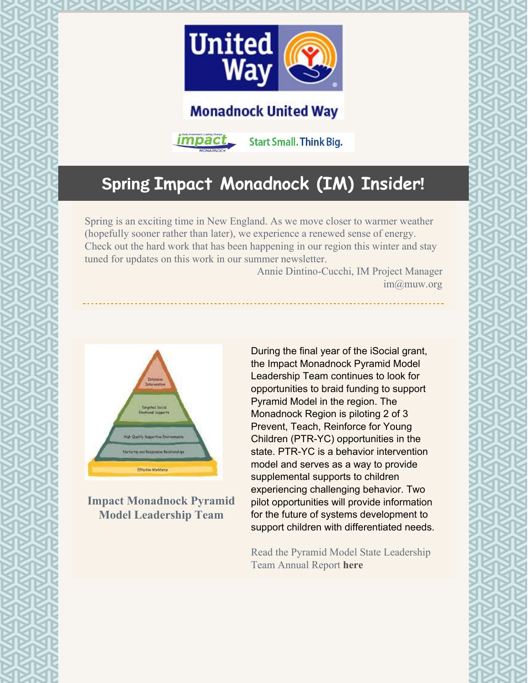

## **Monadnock United Way**



**Start Small. Think Big.** 

# Spring **Impact Monadnock (IM) Insider**!

Spring is an exciting time in New England. As we move closer to warmer weather (hopefully sooner rather than later), we experience a renewed sense of energy. Check out the hard work that has been happening in our region this winter and stay tuned for updates on this work in our summer newsletter.

Annie Dintino-Cucchi, IM Project Manager im@muw.org



**Impact Monadnock Pyramid Model Leadership Team**

During the final year of the iSocial grant, the Impact Monadnock Pyramid Model Leadership Team continues to look for opportunities to braid funding to support Pyramid Model in the region. The Monadnock Region is piloting 2 of 3 Prevent, Teach, Reinforce for Young Children (PTR-YC) opportunities in the state. PTR-YC is a behavior intervention model and serves as a way to provide supplemental supports to children experiencing challenging behavior. Two pilot opportunities will provide information for the future of systems development to support children with differentiated needs.

Read the Pyramid Model State Leadership Team Annual Report **[here](https://files.constantcontact.com/5e3869cb001/a0c15795-bea5-4567-aeac-3f821ea44a88.pdf)**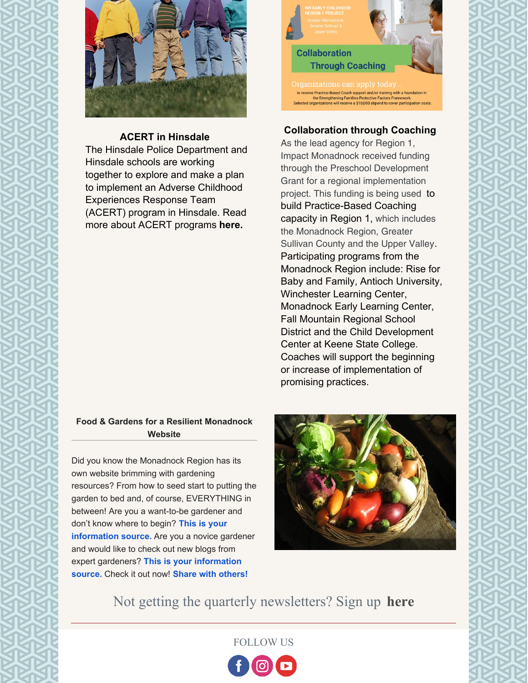

#### **ACERT in Hinsdale**

The Hinsdale Police Department and Hinsdale schools are working together to explore and make a plan to implement an Adverse Childhood Experiences Response Team (ACERT) program in Hinsdale. Read more about ACERT programs **[here.](https://www.amoskeaghealth.org/adverse-childhood-experiences-response-team-acert/)**



### **Collaboration through Coaching**

As the lead agency for Region 1, Impact Monadnock received funding through the Preschool Development Grant for a regional implementation project. This funding is being used to build Practice-Based Coaching capacity in Region 1, which includes the Monadnock Region, Greater Sullivan County and the Upper Valley. Participating programs from the Monadnock Region include: Rise for Baby and Family, Antioch University, Winchester Learning Center, Monadnock Early Learning Center, Fall Mountain Regional School District and the Child Development Center at Keene State College. Coaches will support the beginning or increase of implementation of promising practices.

#### **Food & Gardens for a Resilient Monadnock Website**

Did you know the Monadnock Region has its own website brimming with gardening resources? From how to seed start to putting the garden to bed and, of course, EVERYTHING in between! Are you a want-to-be gardener and don't know where to begin? **This is your [information](https://sites.google.com/view/foodgardensmonadnock/home) source.** Are you a novice gardener and would like to check out new blogs from expert gardeners? **This is your [information](https://sites.google.com/view/foodgardensmonadnock/home) source.** Check it out now! **Share with [others!](https://sites.google.com/view/foodgardensmonadnock/home)**



Not getting the quarterly newsletters? Sign up **[here](https://lp.constantcontactpages.com/su/yhGigtw/iminsider?source_id=bf2fd569-ff29-43c2-9c39-dff9a98d1124&source_type=em&c=)**

FOLLOW US